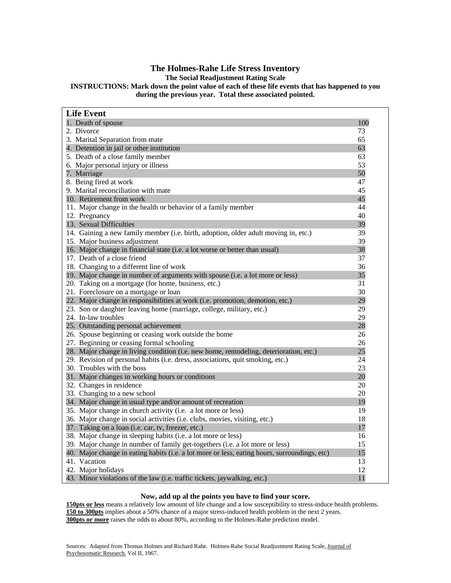### **The Holmes-Rahe Life Stress Inventory**

**The Social Readjustment Rating Scale** 

**INSTRUCTIONS: Mark down the point value of each of these life events that has happened to you during the previous year. Total these associated pointed.** 

| <b>Life Event</b>                                                                            |     |
|----------------------------------------------------------------------------------------------|-----|
| 1. Death of spouse                                                                           | 100 |
| 2. Divorce                                                                                   | 73  |
| 3. Marital Separation from mate                                                              | 65  |
| 4. Detention in jail or other institution                                                    | 63  |
| 5. Death of a close family member                                                            | 63  |
| 6. Major personal injury or illness                                                          | 53  |
| 7. Marriage                                                                                  | 50  |
| 8. Being fired at work                                                                       | 47  |
| 9. Marital reconciliation with mate                                                          | 45  |
| 10. Retirement from work                                                                     | 45  |
| 11. Major change in the health or behavior of a family member                                | 44  |
| 12. Pregnancy                                                                                | 40  |
| 13. Sexual Difficulties                                                                      | 39  |
| 14. Gaining a new family member (i.e. birth, adoption, older adult moving in, etc.)          | 39  |
| 15. Major business adjustment                                                                | 39  |
| 16. Major change in financial state (i.e. a lot worse or better than usual)                  | 38  |
| 17. Death of a close friend                                                                  | 37  |
| 18. Changing to a different line of work                                                     | 36  |
| 19. Major change in number of arguments with spouse (i.e. a lot more or less)                | 35  |
| 20. Taking on a mortgage (for home, business, etc.)                                          | 31  |
| 21. Foreclosure on a mortgage or loan                                                        | 30  |
| 22. Major change in responsibilities at work (i.e. promotion, demotion, etc.)                | 29  |
| 23. Son or daughter leaving home (marriage, college, military, etc.)                         | 29  |
| 24. In-law troubles                                                                          | 29  |
| 25. Outstanding personal achievement                                                         | 28  |
| 26. Spouse beginning or ceasing work outside the home                                        | 26  |
| 27. Beginning or ceasing formal schooling                                                    | 26  |
| 28. Major change in living condition (i.e. new home, remodeling, deterioration, etc.)        | 25  |
| 29. Revision of personal habits (i.e. dress, associations, quit smoking, etc.)               | 24  |
| 30. Troubles with the boss                                                                   | 23  |
| 31. Major changes in working hours or conditions                                             | 20  |
| 32. Changes in residence                                                                     | 20  |
| 33. Changing to a new school                                                                 | 20  |
| 34. Major change in usual type and/or amount of recreation                                   | 19  |
| 35. Major change in church activity (i.e. a lot more or less)                                | 19  |
| 36. Major change in social activities (i.e. clubs, movies, visiting, etc.)                   | 18  |
| 37. Taking on a loan (i.e. car, tv, freezer, etc.)                                           | 17  |
| 38. Major change in sleeping habits (i.e. a lot more or less)                                | 16  |
| 39. Major change in number of family get-togethers (i.e. a lot more or less)                 | 15  |
| 40. Major change in eating habits (i.e. a lot more or less, eating hours, surroundings, etc) | 15  |
| 41. Vacation                                                                                 | 13  |
| 42. Major holidays                                                                           | 12  |
| 43. Minor violations of the law (i.e. traffic tickets, jaywalking, etc.)                     | 11  |

#### **Now, add up al the points you have to find your score.**

**150pts or less** means a relatively low amount of life change and a low susceptibility to stress-induce health problems. **150 to 300pts** implies about a 50% chance of a major stress-induced health problem in the next 2 years. **300pts or more** raises the odds to about 80%, according to the Holmes-Rahe prediction model.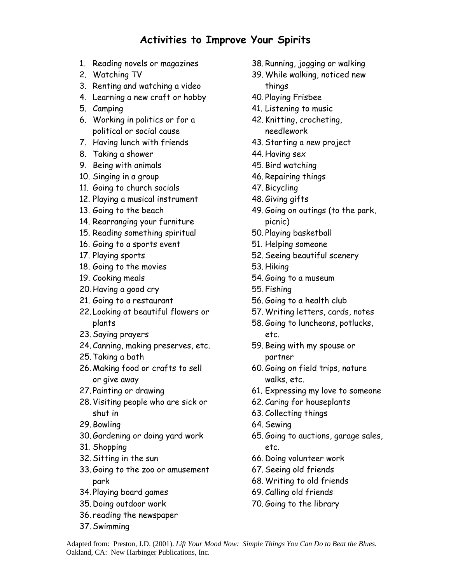# **Activities to Improve Your Spirits**

- 1. Reading novels or magazines
- 2. Watching TV
- 3. Renting and watching a video
- 4. Learning a new craft or hobby
- 5. Camping
- 6. Working in politics or for a political or social cause
- 7. Having lunch with friends
- 8. Taking a shower
- 9. Being with animals
- 10. Singing in a group
- 11. Going to church socials
- 12. Playing a musical instrument
- 13. Going to the beach
- 14. Rearranging your furniture
- 15. Reading something spiritual
- 16. Going to a sports event
- 17. Playing sports
- 18. Going to the movies
- 19. Cooking meals
- 20. Having a good cry
- 21. Going to a restaurant
- 22. Looking at beautiful flowers or plants
- 23.Saying prayers
- 24. Canning, making preserves, etc.
- 25.Taking a bath
- 26. Making food or crafts to sell or give away
- 27. Painting or drawing
- 28. Visiting people who are sick or shut in
- 29. Bowling
- 30.Gardening or doing yard work
- 31. Shopping
- 32.Sitting in the sun
- 33.Going to the zoo or amusement park
- 34. Playing board games
- 35. Doing outdoor work
- 36. reading the newspaper
- 37.Swimming
- 38. Running, jogging or walking
- 39.While walking, noticed new things
- 40. Playing Frisbee
- 41. Listening to music
- 42. Knitting, crocheting, needlework
- 43.Starting a new project
- 44. Having sex
- 45. Bird watching
- 46. Repairing things
- 47. Bicycling
- 48.Giving gifts
- 49.Going on outings (to the park, picnic)
- 50. Playing basketball
- 51. Helping someone
- 52.Seeing beautiful scenery
- 53. Hiking
- 54.Going to a museum
- 55. Fishing
- 56.Going to a health club
- 57.Writing letters, cards, notes
- 58.Going to luncheons, potlucks, etc.
- 59. Being with my spouse or partner
- 60.Going on field trips, nature walks, etc.
- 61. Expressing my love to someone
- 62. Caring for houseplants
- 63. Collecting things
- 64.Sewing
- 65.Going to auctions, garage sales, etc.
- 66. Doing volunteer work
- 67.Seeing old friends
- 68.Writing to old friends
- 69. Calling old friends
- 70.Going to the library

Adapted from: Preston, J.D. (2001). *Lift Your Mood Now: Simple Things You Can Do to Beat the Blues.* Oakland, CA: New Harbinger Publications, Inc.